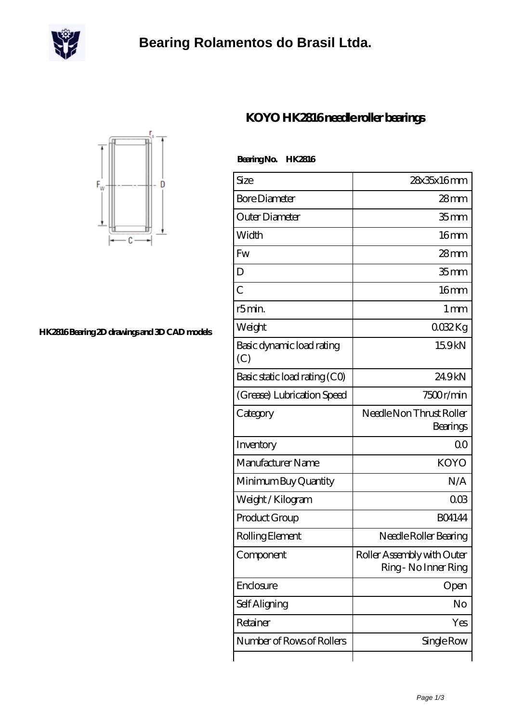

## **[Bearing Rolamentos do Brasil Ltda.](https://m.scottrobertalexander.com)**



**[HK2816 Bearing 2D drawings and 3D CAD models](https://m.scottrobertalexander.com/pic-539143.html)**

| BearingNo.<br><b>HK2816</b>      |                                                    |
|----------------------------------|----------------------------------------------------|
| Size                             | 28x35x16mm                                         |
| <b>Bore Diameter</b>             | $28$ mm                                            |
| Outer Diameter                   | 35mm                                               |
| Width                            | 16mm                                               |
| <b>Fw</b>                        | $28$ mm                                            |
| D                                | 35 <sub>mm</sub>                                   |
| $\overline{C}$                   | 16mm                                               |
| r5min.                           | $1 \,\mathrm{mm}$                                  |
| Weight                           | 0032Kg                                             |
| Basic dynamic load rating<br>(C) | 15.9kN                                             |
| Basic static load rating (CO)    | 249kN                                              |
| (Grease) Lubrication Speed       | 7500r/min                                          |
| Category                         | Needle Non Thrust Roller<br>Bearings               |
| Inventory                        | 0 <sup>0</sup>                                     |
| Manufacturer Name                | <b>KOYO</b>                                        |
| Minimum Buy Quantity             | N/A                                                |
| Weight / Kilogram                | 003                                                |
| Product Group                    | <b>BO4144</b>                                      |
| Rolling Element                  | Needle Roller Bearing                              |
| Component                        | Roller Assembly with Outer<br>Ring - No Inner Ring |
| Enclosure                        | Open                                               |
| Self Aligning                    | No                                                 |
| Retainer                         | Yes                                                |
| Number of Rows of Rollers        | Single Row                                         |

## **[KOYO HK2816 needle roller bearings](https://m.scottrobertalexander.com/koyo-hk2816-bearing/)**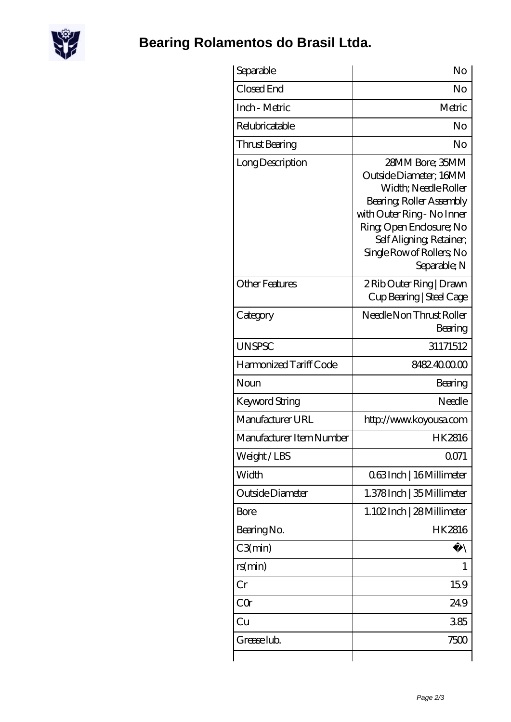

## **[Bearing Rolamentos do Brasil Ltda.](https://m.scottrobertalexander.com)**

| Separable                | No                                                                                                                                                                                                                              |
|--------------------------|---------------------------------------------------------------------------------------------------------------------------------------------------------------------------------------------------------------------------------|
| Closed End               | No                                                                                                                                                                                                                              |
| Inch - Metric            | Metric                                                                                                                                                                                                                          |
| Relubricatable           | No                                                                                                                                                                                                                              |
| Thrust Bearing           | No                                                                                                                                                                                                                              |
| Long Description         | 28MM Bore; 35MM<br>Outside Diameter; 16MM<br>Width; Needle Roller<br>Bearing, Roller Assembly<br>with Outer Ring - No Inner<br>Ring Open Enclosure; No<br>Self Aligning, Retainer,<br>Single Row of Rollers, No<br>Separable; N |
| <b>Other Features</b>    | 2 Rib Outer Ring   Drawn<br>Cup Bearing   Steel Cage                                                                                                                                                                            |
| Category                 | Needle Non Thrust Roller<br>Bearing                                                                                                                                                                                             |
| <b>UNSPSC</b>            | 31171512                                                                                                                                                                                                                        |
| Harmonized Tariff Code   | 8482400000                                                                                                                                                                                                                      |
| Noun                     | Bearing                                                                                                                                                                                                                         |
| Keyword String           | Needle                                                                                                                                                                                                                          |
| Manufacturer URL         | http://www.koyousa.com                                                                                                                                                                                                          |
| Manufacturer Item Number | HK2816                                                                                                                                                                                                                          |
| Weight/LBS               | 0071                                                                                                                                                                                                                            |
| Width                    | 063Inch   16 Millimeter                                                                                                                                                                                                         |
| Outside Diameter         | 1.378Inch   35 Millimeter                                                                                                                                                                                                       |
| Bore                     | 1.102Inch   28 Millimeter                                                                                                                                                                                                       |
| Bearing No.              | HK2816                                                                                                                                                                                                                          |
| C3(min)                  |                                                                                                                                                                                                                                 |
| rs(min)                  | 1                                                                                                                                                                                                                               |
| Cr                       | 159                                                                                                                                                                                                                             |
| CQr                      | 249                                                                                                                                                                                                                             |
| Cu                       | 385                                                                                                                                                                                                                             |
| Grease lub.              | 7500                                                                                                                                                                                                                            |